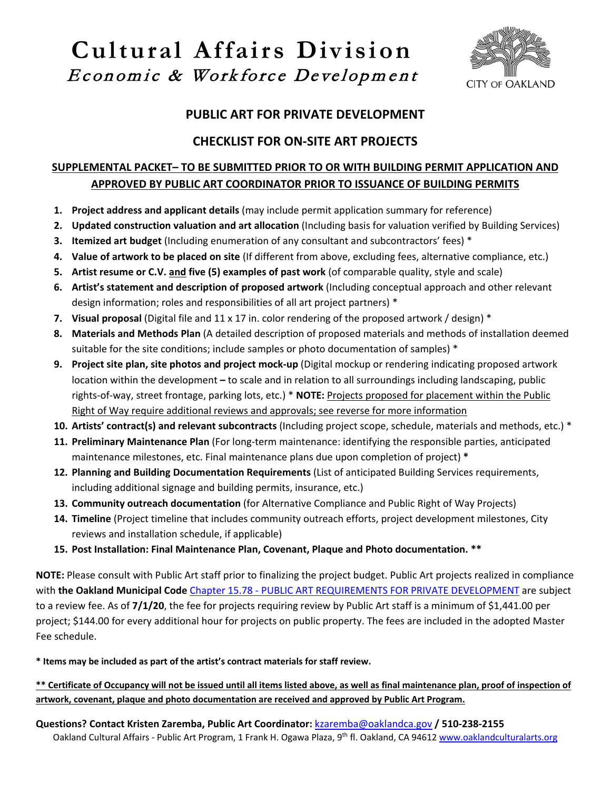# **Cultural Affairs Division** Economic & Workforce Development



### **PUBLIC ART FOR PRIVATE DEVELOPMENT**

## **CHECKLIST FOR ON-SITE ART PROJECTS**

#### **SUPPLEMENTAL PACKET– TO BE SUBMITTED PRIOR TO OR WITH BUILDING PERMIT APPLICATION AND APPROVED BY PUBLIC ART COORDINATOR PRIOR TO ISSUANCE OF BUILDING PERMITS**

- **1. Project address and applicant details** (may include permit application summary for reference)
- **2. Updated construction valuation and art allocation** (Including basis for valuation verified by Building Services)
- **3. Itemized art budget** (Including enumeration of any consultant and subcontractors' fees) \*
- **4. Value of artwork to be placed on site** (If different from above, excluding fees, alternative compliance, etc.)
- **5. Artist resume or C.V. and five (5) examples of past work** (of comparable quality, style and scale)
- **6. Artist's statement and description of proposed artwork** (Including conceptual approach and other relevant design information; roles and responsibilities of all art project partners) \*
- **7. Visual proposal** (Digital file and 11 x 17 in. color rendering of the proposed artwork / design) \*
- **8. Materials and Methods Plan** (A detailed description of proposed materials and methods of installation deemed suitable for the site conditions; include samples or photo documentation of samples) \*
- **9. Project site plan, site photos and project mock-up** (Digital mockup or rendering indicating proposed artwork location within the development **–** to scale and in relation to all surroundings including landscaping, public rights-of-way, street frontage, parking lots, etc.) \* **NOTE:** Projects proposed for placement within the Public Right of Way require additional reviews and approvals; see reverse for more information
- **10. Artists' contract(s) and relevant subcontracts** (Including project scope, schedule, materials and methods, etc.) \*
- **11. Preliminary Maintenance Plan** (For long-term maintenance: identifying the responsible parties, anticipated maintenance milestones, etc. Final maintenance plans due upon completion of project) **\***
- **12. Planning and Building Documentation Requirements** (List of anticipated Building Services requirements, including additional signage and building permits, insurance, etc.)
- **13. Community outreach documentation** (for Alternative Compliance and Public Right of Way Projects)
- **14. Timeline** (Project timeline that includes community outreach efforts, project development milestones, City reviews and installation schedule, if applicable)
- **15. Post Installation: Final Maintenance Plan, Covenant, Plaque and Photo documentation. \*\***

**NOTE:** Please consult with Public Art staff prior to finalizing the project budget. Public Art projects realized in compliance with **the Oakland Municipal Code** Chapter 15.78 - [PUBLIC ART REQUIREMENTS FOR PRIVATE DEVELOPMENT](https://library.municode.com/ca/oakland/codes/code_of_ordinances?nodeId=TIT15BUCO_CH15.78PUARREPRDE) are subject to a review fee. As of **7/1/20**, the fee for projects requiring review by Public Art staff is a minimum of \$1,441.00 per project; \$144.00 for every additional hour for projects on public property. The fees are included in the adopted Master Fee schedule.

**\* Items may be included as part of the artist's contract materials for staff review.**

**\*\* Certificate of Occupancy will not be issued until all items listed above, as well as final maintenance plan, proof of inspection of artwork, covenant, plaque and photo documentation are received and approved by Public Art Program.**

Oakland Cultural Affairs - Public Art Program, 1 Frank H. Ogawa Plaza, 9th fl. Oakland, CA 94612 [www.oaklandculturalarts.org](http://www.oaklandculturalarts.org/) **Questions? Contact Kristen Zaremba, Public Art Coordinator:** [kzaremba@oaklandca.gov](mailto:kzaremba@oaklandca.gov) **/ 510-238-2155**